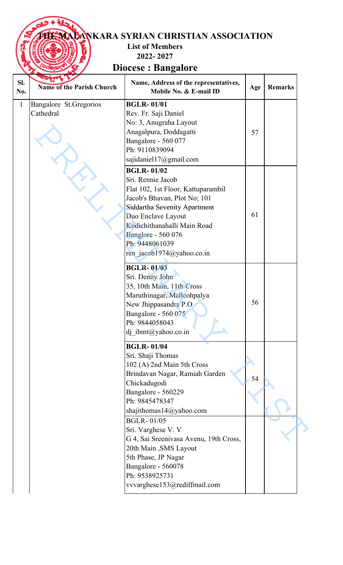## **TANKARA SYRIAN CHRISTIAN ASSOCIATION**

**List of Members** 

**2022- 2027**

**Diocese : Bangalore Diocese :** 

| SI.<br>No.   | <b>Deart</b> 7<br><b>Name of the Parish Church</b> | Name, Address of the representatives,<br>Mobile No. & E-mail ID                                                                                                                                                                                                                      | Age | <b>Remarks</b> |
|--------------|----------------------------------------------------|--------------------------------------------------------------------------------------------------------------------------------------------------------------------------------------------------------------------------------------------------------------------------------------|-----|----------------|
| $\mathbf{1}$ | Bangalore St.Gregorios<br>Cathedral                | <b>BGLR-01/01</b><br>Rev. Fr. Saji Daniel<br>No: 3, Anugraha Layout<br>Anagalpura, Doddagatti<br>Bangalore - 560 077<br>Ph: 9110839094<br>sajidaniel17@gmail.com                                                                                                                     | 57  |                |
|              |                                                    | <b>BGLR-01/02</b><br>Sri. Rennie Jacob<br>Flat 102, 1st Floor, Kattuparambil<br>Jacob's Bhavan, Plot No; 101<br><b>Siddartha Sevenity Apartment</b><br>Duo Enclave Layout<br>Kodichithanahalli Main Road<br><b>Banglore - 560 076</b><br>Ph: 9448061039<br>ren jacob1974@yahoo.co.in | 61  |                |
|              |                                                    | <b>BGLR-01/03</b><br>Sri. Denny John<br>35, 10th Main, 11th Cross<br>Maruthinagar, Malleohpalya<br>New Jhippasandra P.O.<br>Bangalore - 560 075<br>Ph: 9844058043<br>dj ibmt@yahoo.co.in                                                                                             | 56  |                |
|              |                                                    | <b>BGLR-01/04</b><br>Sri. Shaji Thomas<br>102 (A) 2nd Main 5th Cross<br>Brindavan Nagar, Ramiah Garden<br>Chickadugodi<br>Bangalore - 560229<br>Ph: 9845478347<br>shajithomas14@yahoo.com                                                                                            | 54  |                |
|              |                                                    | <b>BGLR-01/05</b><br>Sri. Varghese V. V<br>G 4, Sai Sreenivasa Avenu, 19th Cross,<br>20th Main, SMS Layout<br>5th Phase, JP Nagar<br>Bangalore - 560078<br>Ph: 9538925731<br>vvvarghese153@rediffmail.com                                                                            |     |                |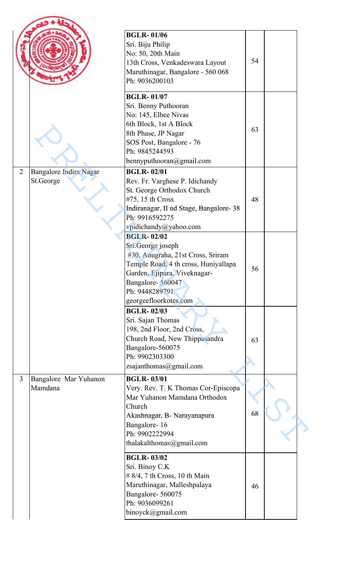|                |                                     | <b>BGLR-01/06</b><br>Sri. Biju Philip<br>No: 50, 20th Main<br>13th Cross, Venkadeswara Layout<br>Maruthinagar, Bangalore - 560 068<br>Ph: 9036200103<br><b>BGLR-01/07</b><br>Sri. Benny Puthooran<br>No: 145, Elbee Nivas | 54 |  |
|----------------|-------------------------------------|---------------------------------------------------------------------------------------------------------------------------------------------------------------------------------------------------------------------------|----|--|
|                |                                     | 6th Block, 1st A Block<br>8th Phase, JP Nagar<br>SOS Post, Bangalore - 76<br>Ph: 9845244593<br>bennyputhooran@gmail.com                                                                                                   | 63 |  |
| $\overline{2}$ | Bangalore Indira Nagar<br>St.George | <b>BGLR-02/01</b><br>Rev. Fr. Varghese P. Idichandy<br>St. George Orthodox Church<br>#75, 15 th Cross<br>Indiranagar, II nd Stage, Bangalore-38<br>Ph: 9916592275<br>vpidichandy@yahoo.com                                | 48 |  |
|                |                                     | <b>BGLR-02/02</b><br>Sri.George joseph<br>#30, Anugraha, 21st Cross, Sriram<br>Temple Road, 4 th cross, Huniyallapa<br>Garden, Ejipura, Viveknagar-<br>Bangalore-560047<br>Ph: 9448289791<br>georgeefloorkotes.com        | 56 |  |
|                |                                     | <b>BGLR-02/03</b><br>Sri. Sajan Thomas<br>198, 2nd Floor, 2nd Cross,<br>Church Road, New Thippasandra<br>Bangalore-560075<br>Ph: 9902303300<br>zsajanthomas@gmail.com                                                     | 63 |  |
| $\overline{3}$ | Bangalore Mar Yuhanon<br>Mamdana    | <b>BGLR-03/01</b><br>Very. Rev. T. K Thomas Cor-Episcopa<br>Mar Yuhanon Mamdana Orthodox<br>Church<br>Akashnagar, B- Narayanapura<br>Bangalore-16<br>Ph: 9902222994<br>thalakalthomas@gmail.com                           | 68 |  |
|                |                                     | <b>BGLR-03/02</b><br>Sri. Binoy C.K<br>$# 8/4$ , 7 th Cross, 10 th Main<br>Maruthinagar, Malleshpalaya<br>Bangalore-560075<br>Ph: 9036099261<br>binoyck@gmail.com                                                         | 46 |  |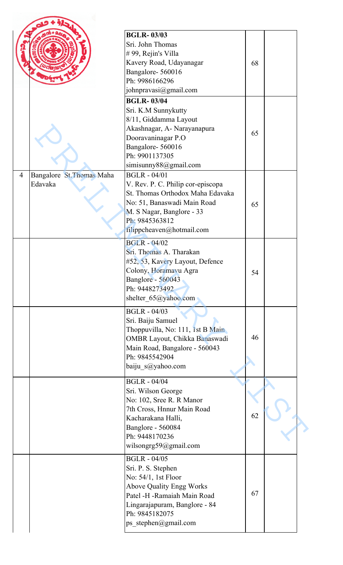|                |                           | <b>BGLR-03/03</b>                 |    |  |
|----------------|---------------------------|-----------------------------------|----|--|
|                |                           | Sri. John Thomas                  |    |  |
|                |                           | #99, Rejin's Villa                |    |  |
|                |                           |                                   |    |  |
|                |                           | Kavery Road, Udayanagar           | 68 |  |
|                |                           | Bangalore-560016                  |    |  |
|                |                           | Ph: 9986166296                    |    |  |
|                |                           | johnpravasi@gmail.com             |    |  |
|                |                           | <b>BGLR-03/04</b>                 |    |  |
|                |                           | Sri. K.M Sunnykutty               |    |  |
|                |                           | 8/11, Giddamma Layout             |    |  |
|                |                           | Akashnagar, A- Narayanapura       |    |  |
|                |                           | Dooravaninagar P.O                | 65 |  |
|                |                           | Bangalore-560016                  |    |  |
|                |                           | Ph: 9901137305                    |    |  |
|                |                           | simisunny88@gmail.com             |    |  |
| $\overline{4}$ |                           | <b>BGLR - 04/01</b>               |    |  |
|                | Bangalore St. Thomas Maha |                                   |    |  |
|                | Edavaka                   | V. Rev. P. C. Philip cor-episcopa |    |  |
|                |                           | St. Thomas Orthodox Maha Edavaka  |    |  |
|                |                           | No: 51, Banaswadi Main Road       | 65 |  |
|                |                           | M. S Nagar, Banglore - 33         |    |  |
|                |                           | Ph: 9845363812                    |    |  |
|                |                           | filippcheaven@hotmail.com         |    |  |
|                |                           | <b>BGLR - 04/02</b>               |    |  |
|                |                           | Sri. Thomas A. Tharakan           |    |  |
|                |                           |                                   |    |  |
|                |                           | #52, 53, Kavery Layout, Defence   |    |  |
|                |                           | Colony, Horamavu Agra             | 54 |  |
|                |                           | <b>Banglore - 560043</b>          |    |  |
|                |                           | Ph: 9448273492                    |    |  |
|                |                           | shelter 65@yahoo.com              |    |  |
|                |                           | <b>BGLR - 04/03</b>               |    |  |
|                |                           | Sri. Baiju Samuel                 |    |  |
|                |                           | Thoppuvilla, No: 111, 1st B Main  |    |  |
|                |                           | OMBR Layout, Chikka Banaswadi     | 46 |  |
|                |                           |                                   |    |  |
|                |                           | Main Road, Bangalore - 560043     |    |  |
|                |                           | Ph: 9845542904                    |    |  |
|                |                           | baiju_s@yahoo.com                 |    |  |
|                |                           | <b>BGLR - 04/04</b>               |    |  |
|                |                           | Sri. Wilson George                |    |  |
|                |                           |                                   |    |  |
|                |                           | No: 102, Sree R. R Manor          |    |  |
|                |                           | 7th Cross, Hnnur Main Road        | 62 |  |
|                |                           | Kacharakana Halli,                |    |  |
|                |                           | <b>Banglore - 560084</b>          |    |  |
|                |                           | Ph: 9448170236                    |    |  |
|                |                           | wilsongrg59@gmail.com             |    |  |
|                |                           | <b>BGLR - 04/05</b>               |    |  |
|                |                           |                                   |    |  |
|                |                           | Sri. P. S. Stephen                |    |  |
|                |                           | No: 54/1, 1st Floor               |    |  |
|                |                           | <b>Above Quality Engg Works</b>   |    |  |
|                |                           | Patel -H -Ramaiah Main Road       | 67 |  |
|                |                           | Lingarajapuram, Banglore - 84     |    |  |
|                |                           | Ph: 9845182075                    |    |  |
|                |                           | ps_stephen@gmail.com              |    |  |
|                |                           |                                   |    |  |
|                |                           |                                   |    |  |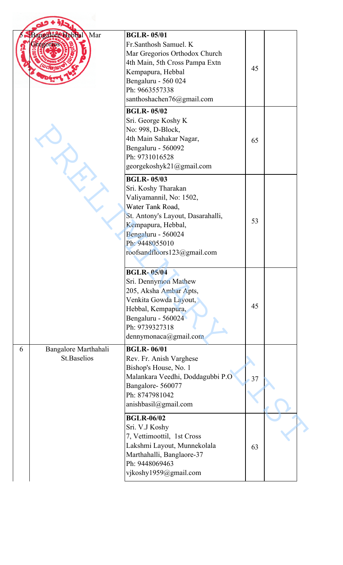|   | Mar<br>Bangalore Hebbal                    | <b>BGLR-05/01</b><br>Fr.Santhosh Samuel. K<br>Mar Gregorios Orthodox Church<br>4th Main, 5th Cross Pampa Extn<br>Kempapura, Hebbal<br>Bengaluru - 560 024<br>Ph: 9663557338<br>santhoshachen76@gmail.com                  | 45 |  |
|---|--------------------------------------------|---------------------------------------------------------------------------------------------------------------------------------------------------------------------------------------------------------------------------|----|--|
|   |                                            | <b>BGLR-05/02</b><br>Sri. George Koshy K<br>No: 998, D-Block,<br>4th Main Sahakar Nagar,<br>Bengaluru - 560092<br>Ph: 9731016528<br>georgekoshyk21@gmail.com                                                              | 65 |  |
|   |                                            | <b>BGLR-05/03</b><br>Sri. Koshy Tharakan<br>Valiyamannil, No: 1502,<br>Water Tank Road,<br>St. Antony's Layout, Dasarahalli,<br>Kempapura, Hebbal,<br>Bengaluru - 560024<br>Ph: 9448055010<br>roofsandfloors123@gmail.com | 53 |  |
|   |                                            | <b>BGLR-05/04</b><br>Sri. Dennymon Mathew<br>205, Aksha Ambar Apts,<br>Venkita Gowda Layout,<br>Hebbal, Kempapura,<br>Bengaluru - 560024<br>Ph: 9739327318<br>dennymonaca@gmail.com                                       | 45 |  |
| 6 | Bangalore Marthahali<br><b>St.Baselios</b> | <b>BGLR-06/01</b><br>Rev. Fr. Anish Varghese<br>Bishop's House, No. 1<br>Malankara Veedhi, Doddagubbi P.O<br>Bangalore-560077<br>Ph: 8747981042<br>anishbasil@gmail.com                                                   | 37 |  |
|   |                                            | <b>BGLR-06/02</b><br>Sri. V.J Koshy<br>7, Vettimoottil, 1st Cross<br>Lakshmi Layout, Munnekolala<br>Marthahalli, Banglaore-37<br>Ph: 9448069463<br>vjkoshy1959@gmail.com                                                  | 63 |  |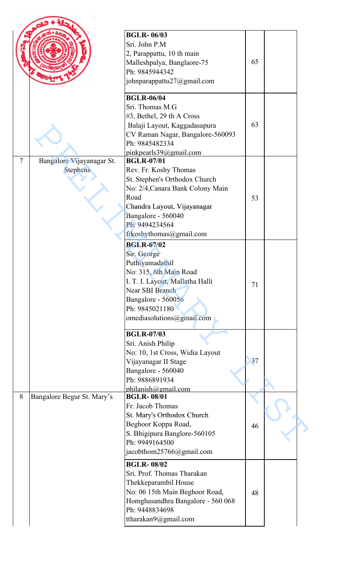|                |                                              | <b>BGLR-06/03</b><br>Sri. John P.M<br>2, Parappattu, 10 th main<br>Malleshpalya, Banglaore-75<br>Ph: 9845944342<br>johnparappattu27@gmail.com                                                                             | 65 |  |
|----------------|----------------------------------------------|---------------------------------------------------------------------------------------------------------------------------------------------------------------------------------------------------------------------------|----|--|
|                |                                              | <b>BGLR-06/04</b><br>Sri. Thomas M.G<br>#3, Bethel, 29 th A Cross<br>Balaji Layout, Kaggadasapura<br>CV Raman Nagar, Bangalore-560093<br>Ph: 9845482334<br>pinkpearls39@gmail.com                                         | 63 |  |
| $\overline{7}$ | Bangalore Vijayanagar St.<br><b>Stephens</b> | <b>BGLR-07/01</b><br>Rev. Fr. Koshy Thomas<br>St. Stephen's Orthodox Church<br>No: 2/4, Canara Bank Colony Main<br>Road<br>Chandra Layout, Vijayanagar<br>Bangalore - 560040<br>Ph: 9494234564<br>frkoshythomas@gmail.com | 53 |  |
|                |                                              | <b>BGLR-07/02</b><br>Sir. George<br>Puthiyamadathil<br>No: 315, 6th Main Road<br>I. T. I. Layout, Mallatha Halli<br>Near SBI Branch<br>Bangalore - 560056<br>Ph: 9845021180<br>omediasolutions@gmail.com                  | 71 |  |
|                |                                              | <b>BGLR-07/03</b><br>Sri. Anish Philip<br>No: 10, 1st Cross, Widia Layout<br>Vijayanagar II Stage<br>Bangalore - 560040<br>Ph: 9886891934<br>philanish@gmail.com                                                          | 37 |  |
| 8              | Bangalore Begur St. Mary's                   | <b>BGLR-08/01</b><br>Fr. Jacob Thomas<br>St. Mary's Orthodox Church<br>Beghoor Koppa Road,<br>S. Bhigipura Banglore-560105<br>Ph: 9949164500<br>jacobthom25766@gmail.com                                                  | 46 |  |
|                |                                              | <b>BGLR-08/02</b><br>Sri. Prof. Thomas Tharakan<br>Thekkeparambil House<br>No: 06 15th Main Beghoor Road,<br>Homghasandhra Bangalore - 560 068<br>Ph: 9448834698<br>ttharakan $9@g$ mail.com                              | 48 |  |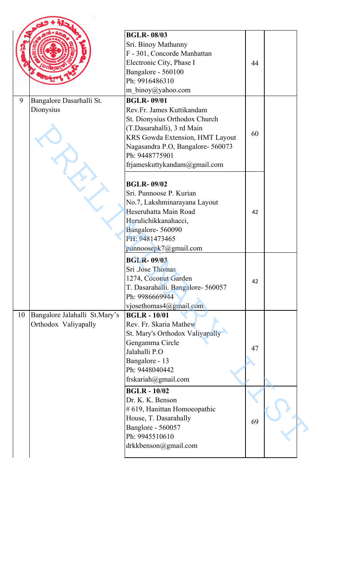|    |                               | <b>BGLR-08/03</b>                 |    |  |
|----|-------------------------------|-----------------------------------|----|--|
|    |                               | Sri. Binoy Mathunny               |    |  |
|    |                               | F - 301, Concorde Manhattan       |    |  |
|    |                               | Electronic City, Phase I          | 44 |  |
|    |                               | Bangalore - 560100                |    |  |
|    |                               | Ph: 9916486310                    |    |  |
|    |                               | m_binoy@yahoo.com                 |    |  |
| 9  | Bangalore Dasarhalli St.      | <b>BGLR-09/01</b>                 |    |  |
|    | Dionysius                     | Rev.Fr. James Kuttikandam         |    |  |
|    |                               | St. Dionysius Orthodox Church     |    |  |
|    |                               | (T.Dasarahalli), 3 rd Main        |    |  |
|    |                               | KRS Gowda Extension, HMT Layout   | 60 |  |
|    |                               | Nagasandra P.O, Bangalore- 560073 |    |  |
|    |                               | Ph: 9448775901                    |    |  |
|    |                               | frjameskuttykandam@gmail.com      |    |  |
|    |                               |                                   |    |  |
|    |                               | <b>BGLR-09/02</b>                 |    |  |
|    |                               | Sri. Punnoose P. Kurian           |    |  |
|    |                               | No.7, Lakshminarayana Layout      |    |  |
|    |                               | Heseruhatta Main Road             | 42 |  |
|    |                               | Hurulichikkanahacci,              |    |  |
|    |                               | Bangalore-560090                  |    |  |
|    |                               | PH: 9481473465                    |    |  |
|    |                               | punnoosepk7@gmail.com             |    |  |
|    |                               | <b>BGLR-09/03</b>                 |    |  |
|    |                               | Sri .Jose Thomas                  |    |  |
|    |                               | 1274, Coconut Garden              |    |  |
|    |                               | T. Dasarahalli. Bangalore- 560057 | 42 |  |
|    |                               | Ph: 9986669944                    |    |  |
|    |                               | vjosethomas4@gmail.com            |    |  |
| 10 | Bangalore Jalahalli St.Mary's | <b>BGLR-10/01</b>                 |    |  |
|    | Orthodox Valiyapally          | Rev. Fr. Skaria Mathew            |    |  |
|    |                               | St. Mary's Orthodox Valiyapally   |    |  |
|    |                               | Gengamma Circle                   |    |  |
|    |                               | Jalahalli P.O                     | 47 |  |
|    |                               | Bangalore - 13                    |    |  |
|    |                               | Ph: 9448040442                    |    |  |
|    |                               | frskariah@gmail.com               |    |  |
|    |                               | <b>BGLR-10/02</b>                 |    |  |
|    |                               | Dr. K. K. Benson                  |    |  |
|    |                               | # 619, Hanittan Homoeopathic      |    |  |
|    |                               | House, T. Dasarahally             |    |  |
|    |                               | Banglore - 560057                 | 69 |  |
|    |                               | Ph: 9945510610                    |    |  |
|    |                               | drkkbenson@gmail.com              |    |  |
|    |                               |                                   |    |  |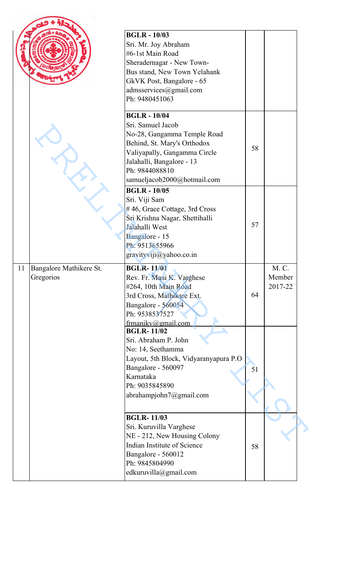|    |                         | <b>BGLR-10/03</b>                                 |    |         |  |
|----|-------------------------|---------------------------------------------------|----|---------|--|
|    |                         | Sri. Mr. Joy Abraham                              |    |         |  |
|    |                         | #6-1st Main Road                                  |    |         |  |
|    |                         | Sheradernagar - New Town-                         |    |         |  |
|    |                         | Bus stand, New Town Yelahank                      |    |         |  |
|    |                         | GkVK Post, Bangalore - 65                         |    |         |  |
|    |                         | admsservices@gmail.com                            |    |         |  |
|    |                         | Ph: 9480451063                                    |    |         |  |
|    |                         | <b>BGLR-10/04</b>                                 |    |         |  |
|    |                         | Sri. Samuel Jacob                                 |    |         |  |
|    |                         | No-28, Gangamma Temple Road                       |    |         |  |
|    |                         | Behind, St. Mary's Orthodox                       | 58 |         |  |
|    |                         | Valiyapally, Gangamma Circle                      |    |         |  |
|    |                         | Jalahalli, Bangalore - 13                         |    |         |  |
|    |                         | Ph: 9844088810                                    |    |         |  |
|    |                         | samueljacob2000@hotmail.com                       |    |         |  |
|    |                         | <b>BGLR-10/05</b>                                 |    |         |  |
|    |                         | Sri. Viji Sam                                     |    |         |  |
|    |                         | #46, Grace Cottage, 3rd Cross                     |    |         |  |
|    |                         | Sri Krishna Nagar, Shettihalli                    | 57 |         |  |
|    |                         | Jalahalli West<br>Bangalore - 15                  |    |         |  |
|    |                         | Ph: 9513655966                                    |    |         |  |
|    |                         | gravityviji@yahoo.co.in                           |    |         |  |
|    |                         |                                                   |    |         |  |
| 11 | Bangalore Mathikere St. | <b>BGLR-11/01</b>                                 |    | M. C.   |  |
|    | Gregorios               | Rev. Fr. Mani K. Varghese                         |    | Member  |  |
|    |                         | #264, 10th Main Road<br>3rd Cross, Mathikare Ext. | 64 | 2017-22 |  |
|    |                         | Bangalore - 560054                                |    |         |  |
|    |                         | Ph: 9538537527                                    |    |         |  |
|    |                         | frmanikv@gmail.com                                |    |         |  |
|    |                         | <b>BGLR-11/02</b>                                 |    |         |  |
|    |                         | Sri. Abraham P. John                              |    |         |  |
|    |                         | No: 14, Seethamma                                 |    |         |  |
|    |                         | Layout, 5th Block, Vidyaranyapura P.O             |    |         |  |
|    |                         | Bangalore - 560097                                | 51 |         |  |
|    |                         | Karnataka                                         |    |         |  |
|    |                         | Ph: 9035845890                                    |    |         |  |
|    |                         | abrahampjohn7@gmail.com                           |    |         |  |
|    |                         |                                                   |    |         |  |
|    |                         | <b>BGLR-11/03</b>                                 |    |         |  |
|    |                         | Sri. Kuruvilla Varghese                           |    |         |  |
|    |                         | NE - 212, New Housing Colony                      |    |         |  |
|    |                         | Indian Institute of Science<br>Bangalore - 560012 | 58 |         |  |
|    |                         | Ph: 9845804990                                    |    |         |  |
|    |                         | edkuruvilla@gmail.com                             |    |         |  |
|    |                         |                                                   |    |         |  |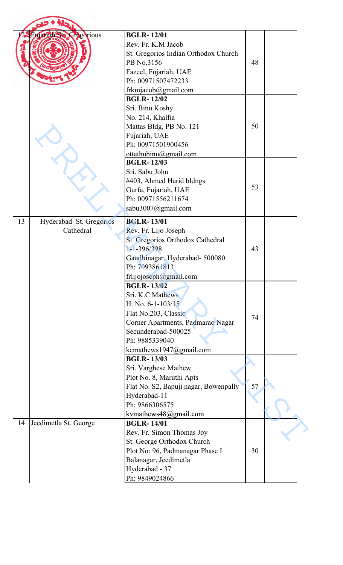|    | uarigh <sup>2</sup> Ste Gregorious   | <b>BGLR-12/01</b><br>Rev. Fr. K.M Jacob<br>St. Gregorios Indian Orthodox Church<br>PB No.3156<br>Fazeel, Fujariah, UAE<br>Ph: 00971507472233<br>frkmjacob@gmail.com                                                     | 48 |  |
|----|--------------------------------------|-------------------------------------------------------------------------------------------------------------------------------------------------------------------------------------------------------------------------|----|--|
|    |                                      | <b>BGLR-12/02</b><br>Sri. Binu Koshy<br>No. 214, Khalfia<br>Mattas Bldg, PB No. 121<br>Fujariah, UAE<br>Ph: 00971501900456<br>ottethubinu@gmail.com                                                                     | 50 |  |
|    |                                      | <b>BGLR-12/03</b><br>Sri. Sabu John<br>#403, Ahmed Harid bldngs<br>Gurfa, Fujariah, UAE<br>Ph: 00971556211674<br>sabu3007@gmail.com                                                                                     | 53 |  |
| 13 | Hyderabad St. Gregorios<br>Cathedral | <b>BGLR-13/01</b><br>Rev. Fr. Lijo Joseph<br>St. Gregorios Orthodox Cathedral<br>1-1-396/398<br>Gandhinagar, Hyderabad- 500080<br>Ph: 7093861813                                                                        | 43 |  |
|    |                                      | frlijojoseph@gmail.com<br><b>BGLR-13/02</b><br>Sri. K.C Mathews<br>H. No. $6-1-103/15$<br>Flat No.203, Classic<br>Corner Apartments, Padmarao Nagar<br>Secunderabad-500025<br>Ph: 9885339040<br>kcmathews1947@gmail.com | 74 |  |
|    |                                      | <b>BGLR-13/03</b><br>Sri. Varghese Mathew<br>Plot No. 8, Maruthi Apts<br>Flat No. S2, Bapuji nagar, Bowenpally<br>Hyderabad-11<br>Ph: 9866306575<br>kvmathews48@gmail.com                                               | 57 |  |
| 14 | Jeedimetla St. George                | <b>BGLR-14/01</b><br>Rev. Fr. Simon Thomas Joy<br>St. George Orthodox Church<br>Plot No: 96, Padmanagar Phase I<br>Balanagar, Jeedimetla<br>Hyderabad - 37<br>Ph: 9849024866                                            | 30 |  |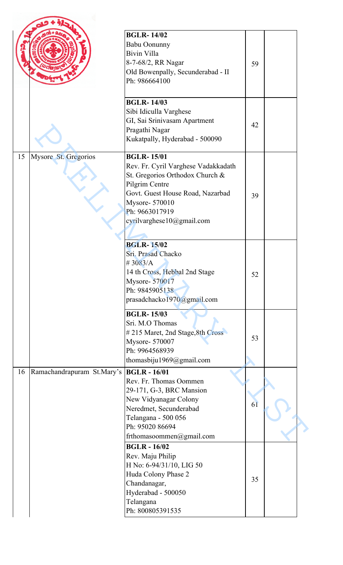|    |                            | <b>BGLR-14/02</b><br><b>Babu Oonunny</b><br>Bivin Villa<br>8-7-68/2, RR Nagar<br>Old Bowenpally, Secunderabad - II<br>Ph: 986664100                                                                                | 59 |  |
|----|----------------------------|--------------------------------------------------------------------------------------------------------------------------------------------------------------------------------------------------------------------|----|--|
|    |                            | <b>BGLR-14/03</b><br>Sibi Idiculla Varghese<br>GI, Sai Srinivasam Apartment<br>Pragathi Nagar<br>Kukatpally, Hyderabad - 500090                                                                                    | 42 |  |
| 15 | Mysore St. Gregorios       | <b>BGLR-15/01</b><br>Rev. Fr. Cyril Varghese Vadakkadath<br>St. Gregorios Orthodox Church &<br>Pilgrim Centre<br>Govt. Guest House Road, Nazarbad<br>Mysore- 570010<br>Ph: 9663017919<br>cyrilvarghese10@gmail.com | 39 |  |
|    |                            | <b>BGLR-15/02</b><br>Sri. Prasad Chacko<br>#3083/A<br>14 th Cross, Hebbal 2nd Stage<br>Mysore-570017<br>Ph: 9845905138<br>prasadchacko1970@gmail.com                                                               | 52 |  |
|    |                            | <b>BGLR-15/03</b><br>Sri. M.O Thomas<br>#215 Maret, 2nd Stage, 8th Cross<br>Mysore- 570007<br>Ph: 9964568939<br>thomasbiju1969@gmail.com                                                                           | 53 |  |
| 16 | Ramachandrapuram St.Mary's | <b>BGLR</b> - 16/01<br>Rev. Fr. Thomas Oommen<br>29-171, G-3, BRC Mansion<br>New Vidyanagar Colony<br>Neredmet, Secunderabad<br>Telangana - 500 056<br>Ph: 95020 86694<br>frthomasoommen@gmail.com                 | 61 |  |
|    |                            | <b>BGLR-16/02</b><br>Rev. Maju Philip<br>H No: 6-94/31/10, LIG 50<br>Huda Colony Phase 2<br>Chandanagar,<br>Hyderabad - 500050<br>Telangana<br>Ph: 800805391535                                                    | 35 |  |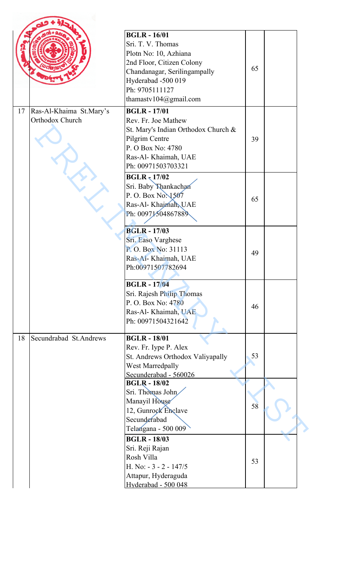|    |                                            | <b>BGLR-16/01</b><br>Sri. T. V. Thomas<br>Plotn No: 10, Azhiana<br>2nd Floor, Citizen Colony<br>Chandanagar, Serilingampally<br>Hyderabad -500 019<br>Ph: 9705111127<br>thamastv $104$ @gmail.com | 65 |  |
|----|--------------------------------------------|---------------------------------------------------------------------------------------------------------------------------------------------------------------------------------------------------|----|--|
| 17 | Ras-Al-Khaima St.Mary's<br>Orthodox Church | <b>BGLR-17/01</b><br>Rev. Fr. Joe Mathew<br>St. Mary's Indian Orthodox Church &<br>Pilgrim Centre<br>P. O Box No: 4780<br>Ras-Al- Khaimah, UAE<br>Ph: 00971503703321                              | 39 |  |
|    |                                            | $BGLR$ $17/02$<br>Sri. Baby Thankachan<br>P. O. Box No. 1507<br>Ras-Al- Khajmah, UAE<br>Ph: 00971504867889                                                                                        | 65 |  |
|    |                                            | <b>BGLR-17/03</b><br>Sri. Easo Varghese<br>P.O. Box No: 31113<br>Ras-Al- Khaimah, UAE<br>Ph:00971507782694                                                                                        | 49 |  |
|    |                                            | <b>BGLR-17/04</b><br>Sri. Rajesh Philip Thomas<br>P. O. Box No: 4780<br>Ras-Al- Khaimah, UAE<br>Ph: 00971504321642                                                                                | 46 |  |
| 18 | Secundrabad St.Andrews                     | <b>BGLR-18/01</b><br>Rev. Fr. Iype P. Alex<br>St. Andrews Orthodox Valiyapally<br><b>West Marredpally</b><br>Secunderabad - 560026                                                                | 53 |  |
|    |                                            | <b>BGLR-18/02</b><br>Sri. Thomas John<br>Manayil House<br>12, Gunrock Enclave<br>Secunderabad<br>Telangana - 500 009                                                                              | 58 |  |
|    |                                            | <b>BGLR-18/03</b><br>Sri. Reji Rajan<br>Rosh Villa<br>H. No: - 3 - 2 - 147/5<br>Attapur, Hyderaguda<br>Hyderabad - 500 048                                                                        | 53 |  |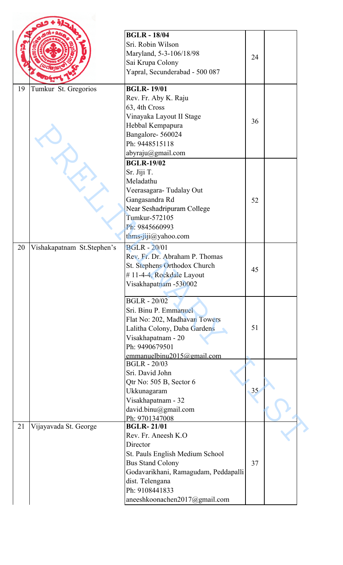|                                  | <b>BGLR-18/04</b>                                  |                 |  |
|----------------------------------|----------------------------------------------------|-----------------|--|
|                                  | Sri. Robin Wilson                                  |                 |  |
|                                  | Maryland, 5-3-106/18/98                            |                 |  |
|                                  |                                                    | 24              |  |
|                                  | Sai Krupa Colony                                   |                 |  |
|                                  | Yapral, Secunderabad - 500 087                     |                 |  |
| 19<br>Tumkur St. Gregorios       | <b>BGLR-19/01</b>                                  |                 |  |
|                                  | Rev. Fr. Aby K. Raju                               |                 |  |
|                                  | 63, 4th Cross                                      |                 |  |
|                                  | Vinayaka Layout II Stage                           | 36              |  |
|                                  | Hebbal Kempapura                                   |                 |  |
|                                  | Bangalore-560024                                   |                 |  |
|                                  | Ph: 9448515118                                     |                 |  |
|                                  | abyraju@gmail.com                                  |                 |  |
|                                  | <b>BGLR-19/02</b>                                  |                 |  |
|                                  | Sr. Jiji T.                                        |                 |  |
|                                  | Meladathu                                          |                 |  |
|                                  | Veerasagara-Tudalay Out                            |                 |  |
|                                  | Gangasandra Rd                                     | 52              |  |
|                                  | Near Seshadripuram College                         |                 |  |
|                                  | Tumkur-572105                                      |                 |  |
|                                  | Ph: 9845660993                                     |                 |  |
|                                  | $thms-ijij(a)$ yahoo.com                           |                 |  |
| 20<br>Vishakapatnam St.Stephen's | <b>BGLR - 20/01</b>                                |                 |  |
|                                  | Rev. Fr. Dr. Abraham P. Thomas                     |                 |  |
|                                  | St. Stephens Orthodox Church                       |                 |  |
|                                  | #11-4-4, Rockdale Layout                           | 45              |  |
|                                  | Visakhapatnam -530002                              |                 |  |
|                                  |                                                    |                 |  |
|                                  | <b>BGLR - 20/02</b>                                |                 |  |
|                                  | Sri. Binu P. Emmanuel                              |                 |  |
|                                  | Flat No: 202, Madhavan Towers                      |                 |  |
|                                  | Lalitha Colony, Daba Gardens                       | 51              |  |
|                                  | Visakhapatnam - 20                                 |                 |  |
|                                  | Ph: 9490679501                                     |                 |  |
|                                  | emmanuel binu2015@gmail.com<br><b>BGLR - 20/03</b> |                 |  |
|                                  | Sri. David John                                    |                 |  |
|                                  | Qtr No: 505 B, Sector 6                            |                 |  |
|                                  | Ukkunagaram                                        | 35 <sub>1</sub> |  |
|                                  | Visakhapatnam - 32                                 |                 |  |
|                                  | david.binu@gmail.com                               |                 |  |
|                                  | Ph: 9701347008                                     |                 |  |
| Vijayavada St. George<br>21      | <b>BGLR-21/01</b>                                  |                 |  |
|                                  | Rev. Fr. Aneesh K.O                                |                 |  |
|                                  | Director                                           |                 |  |
|                                  | St. Pauls English Medium School                    |                 |  |
|                                  | <b>Bus Stand Colony</b>                            | 37              |  |
|                                  | Godavarikhani, Ramagudam, Peddapalli               |                 |  |
|                                  | dist. Telengana                                    |                 |  |
|                                  |                                                    |                 |  |
|                                  | Ph: 9108441833                                     |                 |  |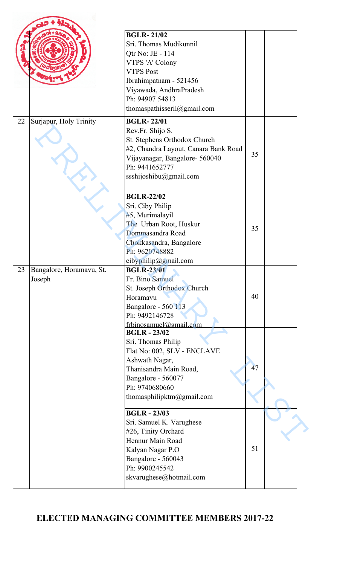|    |                          | <b>BGLR-21/02</b>                         |    |  |
|----|--------------------------|-------------------------------------------|----|--|
|    |                          | Sri. Thomas Mudikunnil                    |    |  |
|    |                          | Qtr No: JE - 114                          |    |  |
|    |                          |                                           |    |  |
|    |                          | VTPS 'A' Colony<br><b>VTPS Post</b>       |    |  |
|    |                          |                                           |    |  |
|    |                          | Ibrahimpatnam - 521456                    |    |  |
|    |                          | Viyawada, AndhraPradesh                   |    |  |
|    |                          | Ph: 94907 54813                           |    |  |
|    |                          | thomaspathisseril@gmail.com               |    |  |
| 22 | Surjapur, Holy Trinity   | <b>BGLR-22/01</b>                         |    |  |
|    |                          | Rev.Fr. Shijo S.                          |    |  |
|    |                          | St. Stephens Orthodox Church              |    |  |
|    |                          | #2, Chandra Layout, Canara Bank Road      |    |  |
|    |                          | Vijayanagar, Bangalore- 560040            | 35 |  |
|    |                          | Ph: 9441652777                            |    |  |
|    |                          | ssshijoshibu@gmail.com                    |    |  |
|    |                          |                                           |    |  |
|    |                          | <b>BGLR-22/02</b>                         |    |  |
|    |                          | Sri. Ciby Philip                          |    |  |
|    |                          | #5, Murimalayil                           |    |  |
|    |                          | The Urban Root, Huskur                    |    |  |
|    |                          | Dommasandra Road                          | 35 |  |
|    |                          |                                           |    |  |
|    |                          | Chokkasandra, Bangalore<br>Ph: 9620748882 |    |  |
|    |                          | cibyphilip@gmail.com                      |    |  |
| 23 | Bangalore, Horamavu, St. | <b>BGLR-23/01</b>                         |    |  |
|    | Joseph                   | Fr. Bino Samuel                           |    |  |
|    |                          | St. Joseph Orthodox Church                |    |  |
|    |                          | Horamavu                                  | 40 |  |
|    |                          | Bangalore - 560 113                       |    |  |
|    |                          | Ph: 9492146728                            |    |  |
|    |                          | frbinosamuel@gmail.com                    |    |  |
|    |                          | <b>BGLR-23/02</b>                         |    |  |
|    |                          | Sri. Thomas Philip                        |    |  |
|    |                          | Flat No: 002, SLV - ENCLAVE               |    |  |
|    |                          | Ashwath Nagar,                            |    |  |
|    |                          | Thanisandra Main Road,                    | 47 |  |
|    |                          | Bangalore - 560077                        |    |  |
|    |                          | Ph: 9740680660                            |    |  |
|    |                          | thomasphilipktm@gmail.com                 |    |  |
|    |                          |                                           |    |  |
|    |                          | <b>BGLR-23/03</b>                         |    |  |
|    |                          | Sri. Samuel K. Varughese                  |    |  |
|    |                          | #26, Tinity Orchard                       |    |  |
|    |                          | Hennur Main Road                          |    |  |
|    |                          | Kalyan Nagar P.O                          | 51 |  |
|    |                          | Bangalore - 560043                        |    |  |
|    |                          | Ph: 9900245542                            |    |  |
|    |                          | skvarughese@hotmail.com                   |    |  |
|    |                          |                                           |    |  |

## **ELECTED MANAGING COMMITTEE MEMBERS 2017-22**